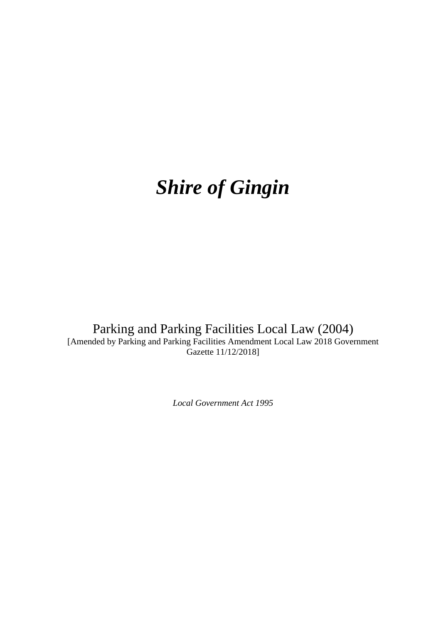# *Shire of Gingin*

Parking and Parking Facilities Local Law (2004) [Amended by Parking and Parking Facilities Amendment Local Law 2018 Government Gazette 11/12/2018]

*Local Government Act 1995*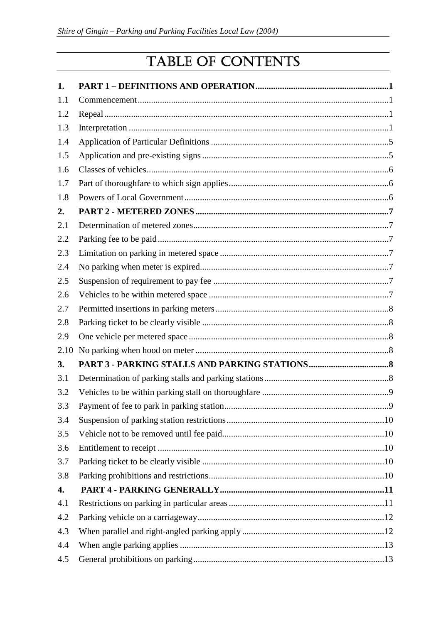# TABLE OF CONTENTS

| 1.   |  |
|------|--|
| 1.1  |  |
| 1.2  |  |
| 1.3  |  |
| 1.4  |  |
| 1.5  |  |
| 1.6  |  |
| 1.7  |  |
| 1.8  |  |
| 2.   |  |
| 2.1  |  |
| 2.2  |  |
| 2.3  |  |
| 2.4  |  |
| 2.5  |  |
| 2.6  |  |
| 2.7  |  |
| 2.8  |  |
| 2.9  |  |
| 2.10 |  |
| 3.   |  |
| 3.1  |  |
| 3.2  |  |
| 3.3  |  |
| 3.4  |  |
| 3.5  |  |
| 3.6  |  |
| 3.7  |  |
| 3.8  |  |
| 4.   |  |
| 4.1  |  |
| 4.2  |  |
| 4.3  |  |
| 4.4  |  |
| 4.5  |  |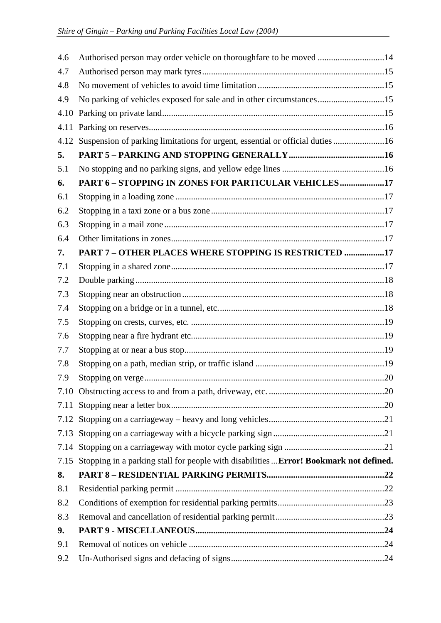| 4.6  | Authorised person may order vehicle on thoroughfare to be moved 14                     |  |  |
|------|----------------------------------------------------------------------------------------|--|--|
| 4.7  |                                                                                        |  |  |
| 4.8  |                                                                                        |  |  |
| 4.9  | No parking of vehicles exposed for sale and in other circumstances15                   |  |  |
| 4.10 |                                                                                        |  |  |
| 4.11 |                                                                                        |  |  |
| 4.12 | Suspension of parking limitations for urgent, essential or official duties 16          |  |  |
| 5.   |                                                                                        |  |  |
| 5.1  |                                                                                        |  |  |
| 6.   | PART 6 - STOPPING IN ZONES FOR PARTICULAR VEHICLES17                                   |  |  |
| 6.1  |                                                                                        |  |  |
| 6.2  |                                                                                        |  |  |
| 6.3  |                                                                                        |  |  |
| 6.4  |                                                                                        |  |  |
| 7.   | PART 7 - OTHER PLACES WHERE STOPPING IS RESTRICTED 17                                  |  |  |
| 7.1  |                                                                                        |  |  |
| 7.2  |                                                                                        |  |  |
| 7.3  |                                                                                        |  |  |
| 7.4  |                                                                                        |  |  |
| 7.5  |                                                                                        |  |  |
| 7.6  |                                                                                        |  |  |
| 7.7  |                                                                                        |  |  |
| 7.8  |                                                                                        |  |  |
| 7.9  |                                                                                        |  |  |
|      |                                                                                        |  |  |
| 7.11 |                                                                                        |  |  |
|      |                                                                                        |  |  |
|      |                                                                                        |  |  |
| 7.14 |                                                                                        |  |  |
| 7.15 | Stopping in a parking stall for people with disabilities  Error! Bookmark not defined. |  |  |
| 8.   |                                                                                        |  |  |
| 8.1  |                                                                                        |  |  |
| 8.2  |                                                                                        |  |  |
| 8.3  |                                                                                        |  |  |
| 9.   |                                                                                        |  |  |
| 9.1  |                                                                                        |  |  |
| 9.2  |                                                                                        |  |  |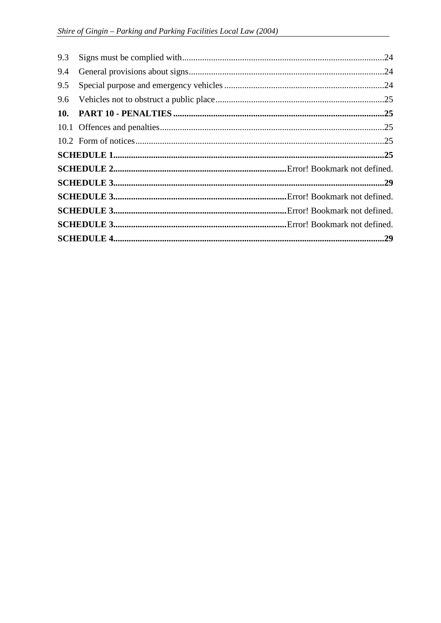| 9.3 |  |
|-----|--|
| 9.4 |  |
| 9.5 |  |
| 9.6 |  |
| 10. |  |
|     |  |
|     |  |
|     |  |
|     |  |
|     |  |
|     |  |
|     |  |
|     |  |
|     |  |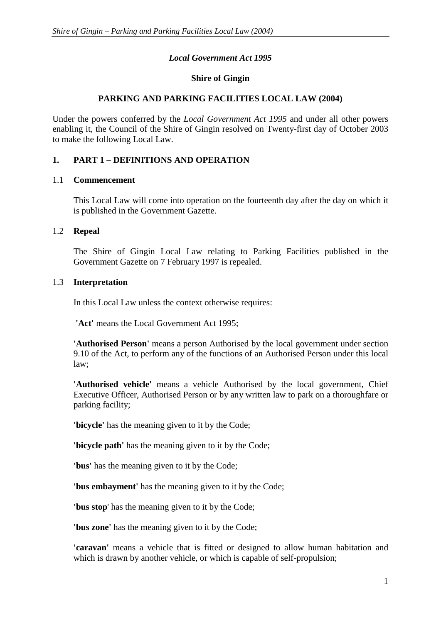# *Local Government Act 1995*

# **Shire of Gingin**

# **PARKING AND PARKING FACILITIES LOCAL LAW (2004)**

Under the powers conferred by the *Local Government Act 1995* and under all other powers enabling it, the Council of the Shire of Gingin resolved on Twenty-first day of October 2003 to make the following Local Law.

# **1. PART 1 – DEFINITIONS AND OPERATION**

#### 1.1 **Commencement**

This Local Law will come into operation on the fourteenth day after the day on which it is published in the Government Gazette.

#### 1.2 **Repeal**

The Shire of Gingin Local Law relating to Parking Facilities published in the Government Gazette on 7 February 1997 is repealed.

#### 1.3 **Interpretation**

In this Local Law unless the context otherwise requires:

 **'Act'** means the Local Government Act 1995;

**'Authorised Person'** means a person Authorised by the local government under section 9.10 of the Act, to perform any of the functions of an Authorised Person under this local law;

**'Authorised vehicle'** means a vehicle Authorised by the local government, Chief Executive Officer, Authorised Person or by any written law to park on a thoroughfare or parking facility;

**'bicycle'** has the meaning given to it by the Code;

**'bicycle path'** has the meaning given to it by the Code;

**'bus'** has the meaning given to it by the Code;

**'bus embayment'** has the meaning given to it by the Code;

**'bus stop**' has the meaning given to it by the Code;

**'bus zone'** has the meaning given to it by the Code;

**'caravan'** means a vehicle that is fitted or designed to allow human habitation and which is drawn by another vehicle, or which is capable of self-propulsion;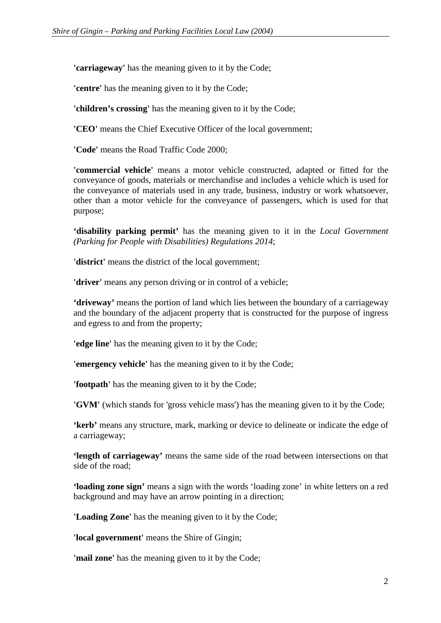**'carriageway'** has the meaning given to it by the Code;

**'centre'** has the meaning given to it by the Code;

**'children's crossing'** has the meaning given to it by the Code;

**'CEO'** means the Chief Executive Officer of the local government;

**'Code'** means the Road Traffic Code 2000;

**'commercial vehicle'** means a motor vehicle constructed, adapted or fitted for the conveyance of goods, materials or merchandise and includes a vehicle which is used for the conveyance of materials used in any trade, business, industry or work whatsoever, other than a motor vehicle for the conveyance of passengers, which is used for that purpose;

**'disability parking permit'** has the meaning given to it in the *Local Government (Parking for People with Disabilities) Regulations 2014*;

**'district'** means the district of the local government;

**'driver'** means any person driving or in control of a vehicle;

**'driveway'** means the portion of land which lies between the boundary of a carriageway and the boundary of the adjacent property that is constructed for the purpose of ingress and egress to and from the property;

**'edge line'** has the meaning given to it by the Code;

**'emergency vehicle'** has the meaning given to it by the Code;

**'footpath'** has the meaning given to it by the Code;

**'GVM'** (which stands for 'gross vehicle mass') has the meaning given to it by the Code;

**'kerb'** means any structure, mark, marking or device to delineate or indicate the edge of a carriageway;

**'length of carriageway'** means the same side of the road between intersections on that side of the road;

**'loading zone sign'** means a sign with the words 'loading zone' in white letters on a red background and may have an arrow pointing in a direction;

**'Loading Zone'** has the meaning given to it by the Code;

**'local government'** means the Shire of Gingin;

**'mail zone'** has the meaning given to it by the Code;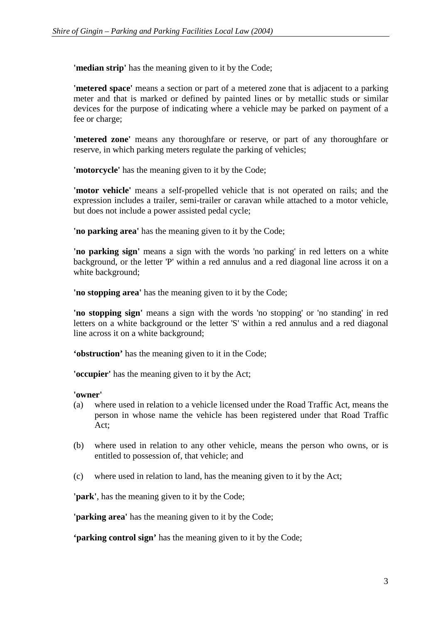**'median strip'** has the meaning given to it by the Code;

**'metered space'** means a section or part of a metered zone that is adjacent to a parking meter and that is marked or defined by painted lines or by metallic studs or similar devices for the purpose of indicating where a vehicle may be parked on payment of a fee or charge;

**'metered zone'** means any thoroughfare or reserve, or part of any thoroughfare or reserve, in which parking meters regulate the parking of vehicles;

**'motorcycle'** has the meaning given to it by the Code;

**'motor vehicle'** means a self-propelled vehicle that is not operated on rails; and the expression includes a trailer, semi-trailer or caravan while attached to a motor vehicle, but does not include a power assisted pedal cycle;

**'no parking area'** has the meaning given to it by the Code;

**'no parking sign'** means a sign with the words 'no parking' in red letters on a white background, or the letter 'P' within a red annulus and a red diagonal line across it on a white background:

**'no stopping area'** has the meaning given to it by the Code;

**'no stopping sign'** means a sign with the words 'no stopping' or 'no standing' in red letters on a white background or the letter 'S' within a red annulus and a red diagonal line across it on a white background;

**'obstruction'** has the meaning given to it in the Code;

**'occupier'** has the meaning given to it by the Act;

#### **'owner'**

- (a) where used in relation to a vehicle licensed under the Road Traffic Act, means the person in whose name the vehicle has been registered under that Road Traffic Act;
- (b) where used in relation to any other vehicle, means the person who owns, or is entitled to possession of, that vehicle; and
- (c) where used in relation to land, has the meaning given to it by the Act;

**'park'**, has the meaning given to it by the Code;

**'parking area'** has the meaning given to it by the Code;

**'parking control sign'** has the meaning given to it by the Code;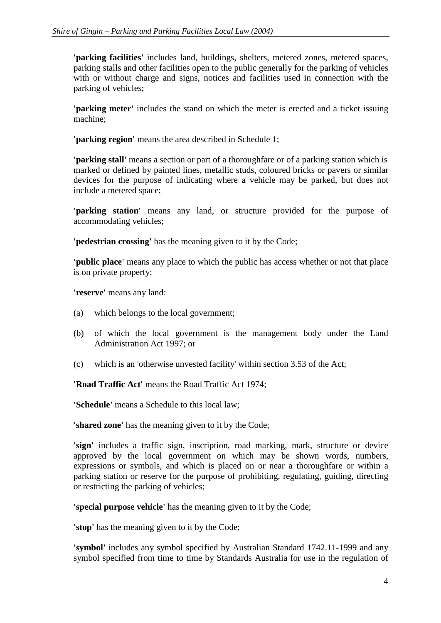**'parking facilities'** includes land, buildings, shelters, metered zones, metered spaces, parking stalls and other facilities open to the public generally for the parking of vehicles with or without charge and signs, notices and facilities used in connection with the parking of vehicles;

**'parking meter'** includes the stand on which the meter is erected and a ticket issuing machine;

**'parking region'** means the area described in Schedule 1;

**'parking stall'** means a section or part of a thoroughfare or of a parking station which is marked or defined by painted lines, metallic studs, coloured bricks or pavers or similar devices for the purpose of indicating where a vehicle may be parked, but does not include a metered space;

**'parking station'** means any land, or structure provided for the purpose of accommodating vehicles;

**'pedestrian crossing'** has the meaning given to it by the Code;

**'public place'** means any place to which the public has access whether or not that place is on private property;

**'reserve'** means any land:

- (a) which belongs to the local government;
- (b) of which the local government is the management body under the Land Administration Act 1997; or
- (c) which is an 'otherwise unvested facility' within section 3.53 of the Act;

**'Road Traffic Act'** means the Road Traffic Act 1974;

**'Schedule'** means a Schedule to this local law;

**'shared zone'** has the meaning given to it by the Code;

**'sign'** includes a traffic sign, inscription, road marking, mark, structure or device approved by the local government on which may be shown words, numbers, expressions or symbols, and which is placed on or near a thoroughfare or within a parking station or reserve for the purpose of prohibiting, regulating, guiding, directing or restricting the parking of vehicles;

**'special purpose vehicle'** has the meaning given to it by the Code;

**'stop'** has the meaning given to it by the Code;

**'symbol'** includes any symbol specified by Australian Standard 1742.11-1999 and any symbol specified from time to time by Standards Australia for use in the regulation of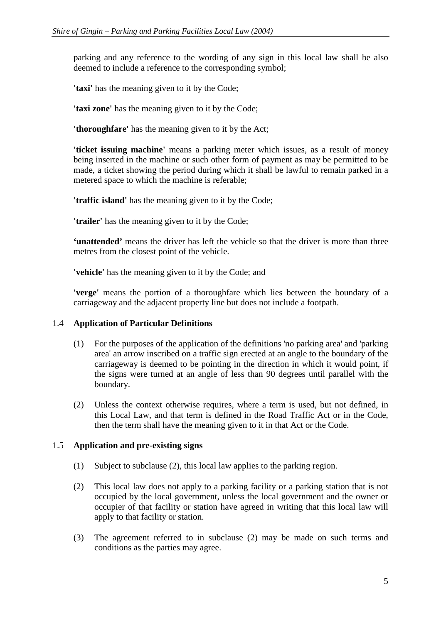parking and any reference to the wording of any sign in this local law shall be also deemed to include a reference to the corresponding symbol;

**'taxi'** has the meaning given to it by the Code;

**'taxi zone'** has the meaning given to it by the Code;

**'thoroughfare'** has the meaning given to it by the Act;

**'ticket issuing machine'** means a parking meter which issues, as a result of money being inserted in the machine or such other form of payment as may be permitted to be made, a ticket showing the period during which it shall be lawful to remain parked in a metered space to which the machine is referable;

**'traffic island'** has the meaning given to it by the Code;

**'trailer'** has the meaning given to it by the Code;

**'unattended'** means the driver has left the vehicle so that the driver is more than three metres from the closest point of the vehicle.

**'vehicle'** has the meaning given to it by the Code; and

**'verge'** means the portion of a thoroughfare which lies between the boundary of a carriageway and the adjacent property line but does not include a footpath.

# 1.4 **Application of Particular Definitions**

- (1) For the purposes of the application of the definitions 'no parking area' and 'parking area' an arrow inscribed on a traffic sign erected at an angle to the boundary of the carriageway is deemed to be pointing in the direction in which it would point, if the signs were turned at an angle of less than 90 degrees until parallel with the boundary.
- (2) Unless the context otherwise requires, where a term is used, but not defined, in this Local Law, and that term is defined in the Road Traffic Act or in the Code, then the term shall have the meaning given to it in that Act or the Code.

# 1.5 **Application and pre-existing signs**

- (1) Subject to subclause (2), this local law applies to the parking region.
- (2) This local law does not apply to a parking facility or a parking station that is not occupied by the local government, unless the local government and the owner or occupier of that facility or station have agreed in writing that this local law will apply to that facility or station.
- (3) The agreement referred to in subclause (2) may be made on such terms and conditions as the parties may agree.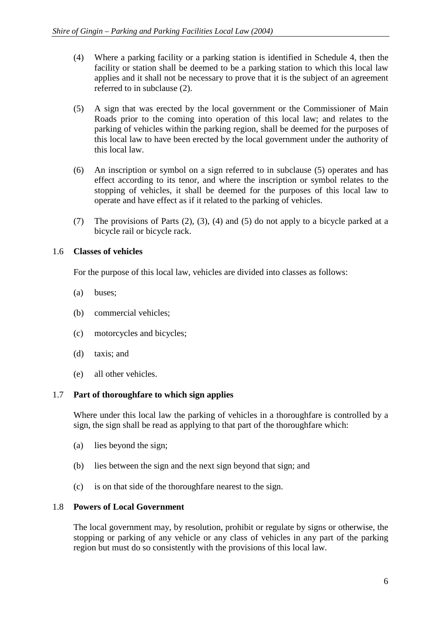- (4) Where a parking facility or a parking station is identified in Schedule 4, then the facility or station shall be deemed to be a parking station to which this local law applies and it shall not be necessary to prove that it is the subject of an agreement referred to in subclause (2).
- (5) A sign that was erected by the local government or the Commissioner of Main Roads prior to the coming into operation of this local law; and relates to the parking of vehicles within the parking region, shall be deemed for the purposes of this local law to have been erected by the local government under the authority of this local law.
- (6) An inscription or symbol on a sign referred to in subclause (5) operates and has effect according to its tenor, and where the inscription or symbol relates to the stopping of vehicles, it shall be deemed for the purposes of this local law to operate and have effect as if it related to the parking of vehicles.
- (7) The provisions of Parts (2), (3), (4) and (5) do not apply to a bicycle parked at a bicycle rail or bicycle rack.

# 1.6 **Classes of vehicles**

For the purpose of this local law, vehicles are divided into classes as follows:

- (a) buses;
- (b) commercial vehicles;
- (c) motorcycles and bicycles;
- (d) taxis; and
- (e) all other vehicles.

# 1.7 **Part of thoroughfare to which sign applies**

Where under this local law the parking of vehicles in a thoroughfare is controlled by a sign, the sign shall be read as applying to that part of the thoroughfare which:

- (a) lies beyond the sign;
- (b) lies between the sign and the next sign beyond that sign; and
- (c) is on that side of the thoroughfare nearest to the sign.

# 1.8 **Powers of Local Government**

The local government may, by resolution, prohibit or regulate by signs or otherwise, the stopping or parking of any vehicle or any class of vehicles in any part of the parking region but must do so consistently with the provisions of this local law.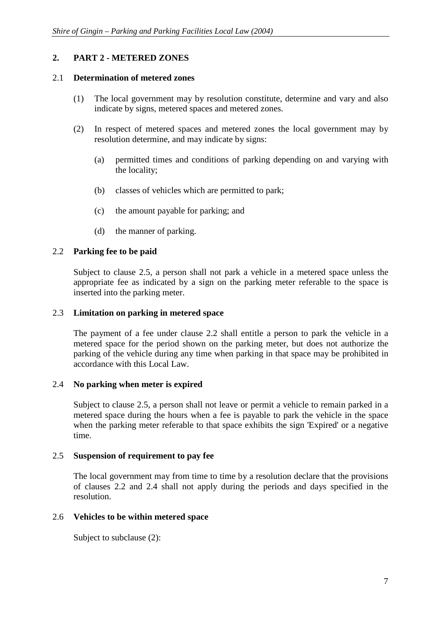# **2. PART 2 - METERED ZONES**

# 2.1 **Determination of metered zones**

- (1) The local government may by resolution constitute, determine and vary and also indicate by signs, metered spaces and metered zones.
- (2) In respect of metered spaces and metered zones the local government may by resolution determine, and may indicate by signs:
	- (a) permitted times and conditions of parking depending on and varying with the locality;
	- (b) classes of vehicles which are permitted to park;
	- (c) the amount payable for parking; and
	- (d) the manner of parking.

# 2.2 **Parking fee to be paid**

Subject to clause 2.5, a person shall not park a vehicle in a metered space unless the appropriate fee as indicated by a sign on the parking meter referable to the space is inserted into the parking meter.

#### 2.3 **Limitation on parking in metered space**

The payment of a fee under clause 2.2 shall entitle a person to park the vehicle in a metered space for the period shown on the parking meter, but does not authorize the parking of the vehicle during any time when parking in that space may be prohibited in accordance with this Local Law.

# 2.4 **No parking when meter is expired**

Subject to clause 2.5, a person shall not leave or permit a vehicle to remain parked in a metered space during the hours when a fee is payable to park the vehicle in the space when the parking meter referable to that space exhibits the sign 'Expired' or a negative time.

# 2.5 **Suspension of requirement to pay fee**

The local government may from time to time by a resolution declare that the provisions of clauses 2.2 and 2.4 shall not apply during the periods and days specified in the resolution.

# 2.6 **Vehicles to be within metered space**

Subject to subclause (2):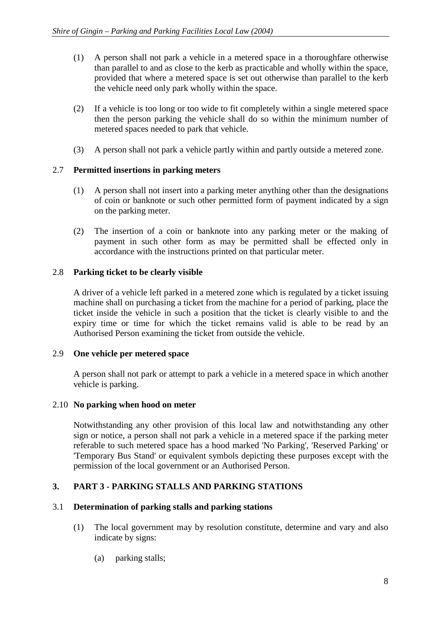- (1) A person shall not park a vehicle in a metered space in a thoroughfare otherwise than parallel to and as close to the kerb as practicable and wholly within the space, provided that where a metered space is set out otherwise than parallel to the kerb the vehicle need only park wholly within the space.
- (2) If a vehicle is too long or too wide to fit completely within a single metered space then the person parking the vehicle shall do so within the minimum number of metered spaces needed to park that vehicle.
- (3) A person shall not park a vehicle partly within and partly outside a metered zone.

# 2.7 **Permitted insertions in parking meters**

- (1) A person shall not insert into a parking meter anything other than the designations of coin or banknote or such other permitted form of payment indicated by a sign on the parking meter.
- (2) The insertion of a coin or banknote into any parking meter or the making of payment in such other form as may be permitted shall be effected only in accordance with the instructions printed on that particular meter.

# 2.8 **Parking ticket to be clearly visible**

A driver of a vehicle left parked in a metered zone which is regulated by a ticket issuing machine shall on purchasing a ticket from the machine for a period of parking, place the ticket inside the vehicle in such a position that the ticket is clearly visible to and the expiry time or time for which the ticket remains valid is able to be read by an Authorised Person examining the ticket from outside the vehicle.

#### 2.9 **One vehicle per metered space**

A person shall not park or attempt to park a vehicle in a metered space in which another vehicle is parking.

#### 2.10 **No parking when hood on meter**

Notwithstanding any other provision of this local law and notwithstanding any other sign or notice, a person shall not park a vehicle in a metered space if the parking meter referable to such metered space has a hood marked 'No Parking', 'Reserved Parking' or 'Temporary Bus Stand' or equivalent symbols depicting these purposes except with the permission of the local government or an Authorised Person.

# **3. PART 3 - PARKING STALLS AND PARKING STATIONS**

#### 3.1 **Determination of parking stalls and parking stations**

- (1) The local government may by resolution constitute, determine and vary and also indicate by signs:
	- (a) parking stalls;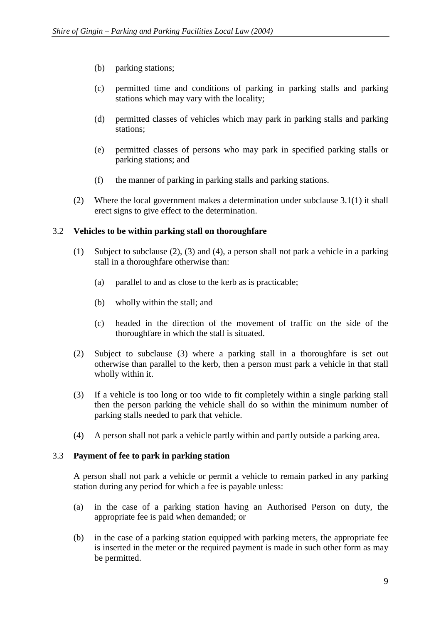- (b) parking stations;
- (c) permitted time and conditions of parking in parking stalls and parking stations which may vary with the locality;
- (d) permitted classes of vehicles which may park in parking stalls and parking stations;
- (e) permitted classes of persons who may park in specified parking stalls or parking stations; and
- (f) the manner of parking in parking stalls and parking stations.
- (2) Where the local government makes a determination under subclause 3.1(1) it shall erect signs to give effect to the determination.

# 3.2 **Vehicles to be within parking stall on thoroughfare**

- (1) Subject to subclause (2), (3) and (4), a person shall not park a vehicle in a parking stall in a thoroughfare otherwise than:
	- (a) parallel to and as close to the kerb as is practicable;
	- (b) wholly within the stall; and
	- (c) headed in the direction of the movement of traffic on the side of the thoroughfare in which the stall is situated.
- (2) Subject to subclause (3) where a parking stall in a thoroughfare is set out otherwise than parallel to the kerb, then a person must park a vehicle in that stall wholly within it.
- (3) If a vehicle is too long or too wide to fit completely within a single parking stall then the person parking the vehicle shall do so within the minimum number of parking stalls needed to park that vehicle.
- (4) A person shall not park a vehicle partly within and partly outside a parking area.

#### 3.3 **Payment of fee to park in parking station**

A person shall not park a vehicle or permit a vehicle to remain parked in any parking station during any period for which a fee is payable unless:

- (a) in the case of a parking station having an Authorised Person on duty, the appropriate fee is paid when demanded; or
- (b) in the case of a parking station equipped with parking meters, the appropriate fee is inserted in the meter or the required payment is made in such other form as may be permitted.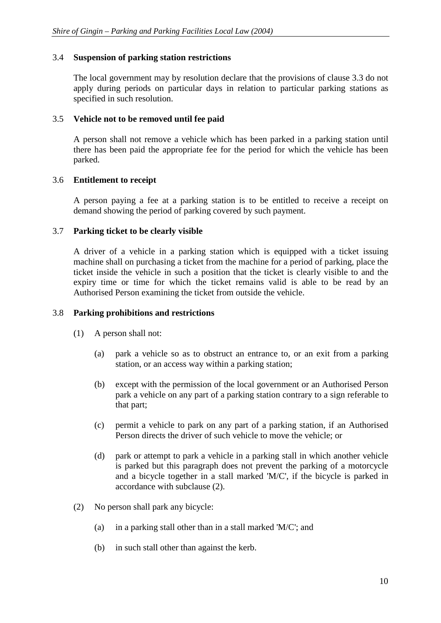#### 3.4 **Suspension of parking station restrictions**

The local government may by resolution declare that the provisions of clause 3.3 do not apply during periods on particular days in relation to particular parking stations as specified in such resolution.

# 3.5 **Vehicle not to be removed until fee paid**

A person shall not remove a vehicle which has been parked in a parking station until there has been paid the appropriate fee for the period for which the vehicle has been parked.

# 3.6 **Entitlement to receipt**

A person paying a fee at a parking station is to be entitled to receive a receipt on demand showing the period of parking covered by such payment.

# 3.7 **Parking ticket to be clearly visible**

A driver of a vehicle in a parking station which is equipped with a ticket issuing machine shall on purchasing a ticket from the machine for a period of parking, place the ticket inside the vehicle in such a position that the ticket is clearly visible to and the expiry time or time for which the ticket remains valid is able to be read by an Authorised Person examining the ticket from outside the vehicle.

#### 3.8 **Parking prohibitions and restrictions**

- (1) A person shall not:
	- (a) park a vehicle so as to obstruct an entrance to, or an exit from a parking station, or an access way within a parking station;
	- (b) except with the permission of the local government or an Authorised Person park a vehicle on any part of a parking station contrary to a sign referable to that part;
	- (c) permit a vehicle to park on any part of a parking station, if an Authorised Person directs the driver of such vehicle to move the vehicle; or
	- (d) park or attempt to park a vehicle in a parking stall in which another vehicle is parked but this paragraph does not prevent the parking of a motorcycle and a bicycle together in a stall marked 'M/C', if the bicycle is parked in accordance with subclause (2).
- (2) No person shall park any bicycle:
	- (a) in a parking stall other than in a stall marked 'M/C'; and
	- (b) in such stall other than against the kerb.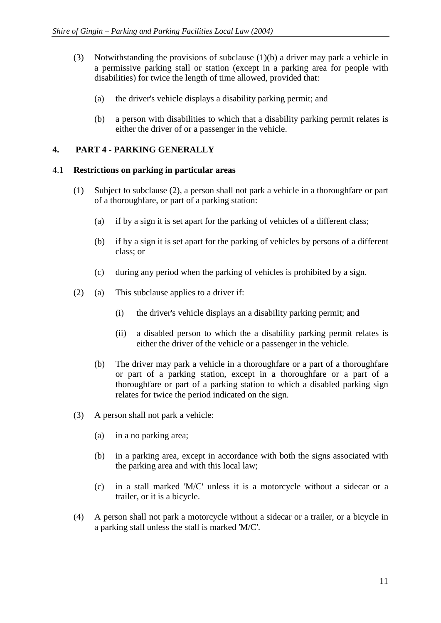- (3) Notwithstanding the provisions of subclause (1)(b) a driver may park a vehicle in a permissive parking stall or station (except in a parking area for people with disabilities) for twice the length of time allowed, provided that:
	- (a) the driver's vehicle displays a disability parking permit; and
	- (b) a person with disabilities to which that a disability parking permit relates is either the driver of or a passenger in the vehicle.

# **4. PART 4 - PARKING GENERALLY**

#### 4.1 **Restrictions on parking in particular areas**

- (1) Subject to subclause (2), a person shall not park a vehicle in a thoroughfare or part of a thoroughfare, or part of a parking station:
	- (a) if by a sign it is set apart for the parking of vehicles of a different class;
	- (b) if by a sign it is set apart for the parking of vehicles by persons of a different class; or
	- (c) during any period when the parking of vehicles is prohibited by a sign.
- (2) (a) This subclause applies to a driver if:
	- (i) the driver's vehicle displays an a disability parking permit; and
	- (ii) a disabled person to which the a disability parking permit relates is either the driver of the vehicle or a passenger in the vehicle.
	- (b) The driver may park a vehicle in a thoroughfare or a part of a thoroughfare or part of a parking station, except in a thoroughfare or a part of a thoroughfare or part of a parking station to which a disabled parking sign relates for twice the period indicated on the sign.
- (3) A person shall not park a vehicle:
	- (a) in a no parking area;
	- (b) in a parking area, except in accordance with both the signs associated with the parking area and with this local law;
	- (c) in a stall marked 'M/C' unless it is a motorcycle without a sidecar or a trailer, or it is a bicycle.
- (4) A person shall not park a motorcycle without a sidecar or a trailer, or a bicycle in a parking stall unless the stall is marked 'M/C'.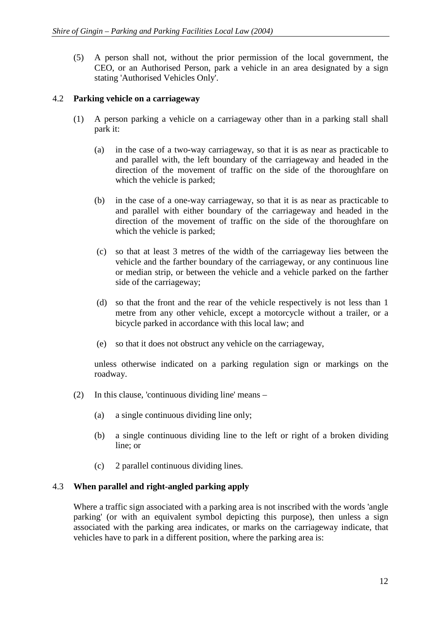(5) A person shall not, without the prior permission of the local government, the CEO, or an Authorised Person, park a vehicle in an area designated by a sign stating 'Authorised Vehicles Only'.

# 4.2 **Parking vehicle on a carriageway**

- (1) A person parking a vehicle on a carriageway other than in a parking stall shall park it:
	- (a) in the case of a two-way carriageway, so that it is as near as practicable to and parallel with, the left boundary of the carriageway and headed in the direction of the movement of traffic on the side of the thoroughfare on which the vehicle is parked;
	- (b) in the case of a one-way carriageway, so that it is as near as practicable to and parallel with either boundary of the carriageway and headed in the direction of the movement of traffic on the side of the thoroughfare on which the vehicle is parked;
	- (c) so that at least 3 metres of the width of the carriageway lies between the vehicle and the farther boundary of the carriageway, or any continuous line or median strip, or between the vehicle and a vehicle parked on the farther side of the carriageway;
	- (d) so that the front and the rear of the vehicle respectively is not less than 1 metre from any other vehicle, except a motorcycle without a trailer, or a bicycle parked in accordance with this local law; and
	- (e) so that it does not obstruct any vehicle on the carriageway,

unless otherwise indicated on a parking regulation sign or markings on the roadway.

- (2) In this clause, 'continuous dividing line' means
	- (a) a single continuous dividing line only;
	- (b) a single continuous dividing line to the left or right of a broken dividing line; or
	- (c) 2 parallel continuous dividing lines.

#### 4.3 **When parallel and right-angled parking apply**

Where a traffic sign associated with a parking area is not inscribed with the words 'angle parking' (or with an equivalent symbol depicting this purpose), then unless a sign associated with the parking area indicates, or marks on the carriageway indicate, that vehicles have to park in a different position, where the parking area is: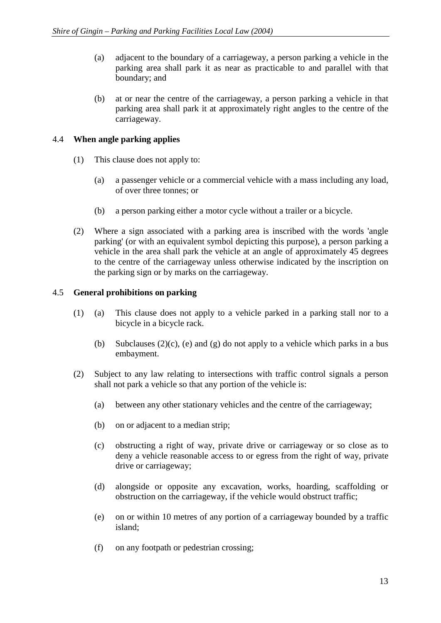- (a) adjacent to the boundary of a carriageway, a person parking a vehicle in the parking area shall park it as near as practicable to and parallel with that boundary; and
- (b) at or near the centre of the carriageway, a person parking a vehicle in that parking area shall park it at approximately right angles to the centre of the carriageway.

# 4.4 **When angle parking applies**

- (1) This clause does not apply to:
	- (a) a passenger vehicle or a commercial vehicle with a mass including any load, of over three tonnes; or
	- (b) a person parking either a motor cycle without a trailer or a bicycle.
- (2) Where a sign associated with a parking area is inscribed with the words 'angle parking' (or with an equivalent symbol depicting this purpose), a person parking a vehicle in the area shall park the vehicle at an angle of approximately 45 degrees to the centre of the carriageway unless otherwise indicated by the inscription on the parking sign or by marks on the carriageway.

# 4.5 **General prohibitions on parking**

- (1) (a) This clause does not apply to a vehicle parked in a parking stall nor to a bicycle in a bicycle rack.
	- (b) Subclauses  $(2)(c)$ , (e) and  $(g)$  do not apply to a vehicle which parks in a bus embayment.
- (2) Subject to any law relating to intersections with traffic control signals a person shall not park a vehicle so that any portion of the vehicle is:
	- (a) between any other stationary vehicles and the centre of the carriageway;
	- (b) on or adjacent to a median strip;
	- (c) obstructing a right of way, private drive or carriageway or so close as to deny a vehicle reasonable access to or egress from the right of way, private drive or carriageway;
	- (d) alongside or opposite any excavation, works, hoarding, scaffolding or obstruction on the carriageway, if the vehicle would obstruct traffic;
	- (e) on or within 10 metres of any portion of a carriageway bounded by a traffic island;
	- (f) on any footpath or pedestrian crossing;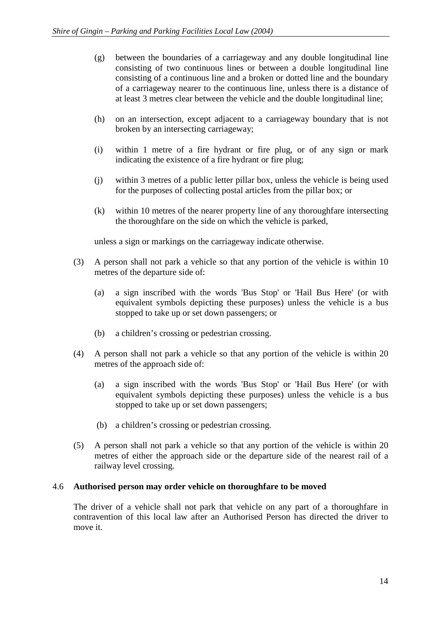- (g) between the boundaries of a carriageway and any double longitudinal line consisting of two continuous lines or between a double longitudinal line consisting of a continuous line and a broken or dotted line and the boundary of a carriageway nearer to the continuous line, unless there is a distance of at least 3 metres clear between the vehicle and the double longitudinal line;
- (h) on an intersection, except adjacent to a carriageway boundary that is not broken by an intersecting carriageway;
- (i) within 1 metre of a fire hydrant or fire plug, or of any sign or mark indicating the existence of a fire hydrant or fire plug;
- (j) within 3 metres of a public letter pillar box, unless the vehicle is being used for the purposes of collecting postal articles from the pillar box; or
- (k) within 10 metres of the nearer property line of any thoroughfare intersecting the thoroughfare on the side on which the vehicle is parked,

unless a sign or markings on the carriageway indicate otherwise.

- (3) A person shall not park a vehicle so that any portion of the vehicle is within 10 metres of the departure side of:
	- (a) a sign inscribed with the words 'Bus Stop' or 'Hail Bus Here' (or with equivalent symbols depicting these purposes) unless the vehicle is a bus stopped to take up or set down passengers; or
	- (b) a children's crossing or pedestrian crossing.
- (4) A person shall not park a vehicle so that any portion of the vehicle is within 20 metres of the approach side of:
	- (a) a sign inscribed with the words 'Bus Stop' or 'Hail Bus Here' (or with equivalent symbols depicting these purposes) unless the vehicle is a bus stopped to take up or set down passengers;
	- (b) a children's crossing or pedestrian crossing.
- (5) A person shall not park a vehicle so that any portion of the vehicle is within 20 metres of either the approach side or the departure side of the nearest rail of a railway level crossing.

#### 4.6 **Authorised person may order vehicle on thoroughfare to be moved**

The driver of a vehicle shall not park that vehicle on any part of a thoroughfare in contravention of this local law after an Authorised Person has directed the driver to move it.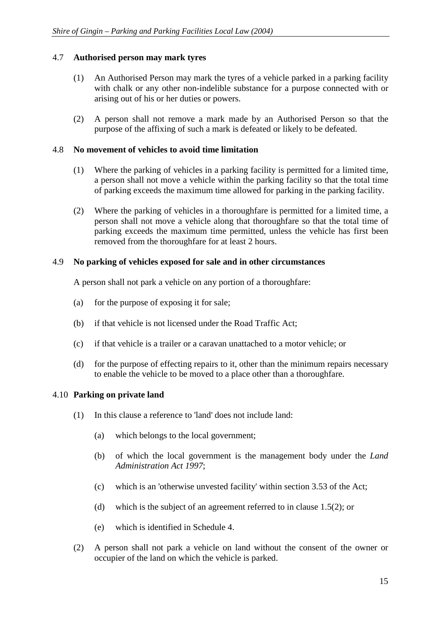# 4.7 **Authorised person may mark tyres**

- (1) An Authorised Person may mark the tyres of a vehicle parked in a parking facility with chalk or any other non-indelible substance for a purpose connected with or arising out of his or her duties or powers.
- (2) A person shall not remove a mark made by an Authorised Person so that the purpose of the affixing of such a mark is defeated or likely to be defeated.

#### 4.8 **No movement of vehicles to avoid time limitation**

- (1) Where the parking of vehicles in a parking facility is permitted for a limited time, a person shall not move a vehicle within the parking facility so that the total time of parking exceeds the maximum time allowed for parking in the parking facility.
- (2) Where the parking of vehicles in a thoroughfare is permitted for a limited time, a person shall not move a vehicle along that thoroughfare so that the total time of parking exceeds the maximum time permitted, unless the vehicle has first been removed from the thoroughfare for at least 2 hours.

#### 4.9 **No parking of vehicles exposed for sale and in other circumstances**

A person shall not park a vehicle on any portion of a thoroughfare:

- (a) for the purpose of exposing it for sale;
- (b) if that vehicle is not licensed under the Road Traffic Act;
- (c) if that vehicle is a trailer or a caravan unattached to a motor vehicle; or
- (d) for the purpose of effecting repairs to it, other than the minimum repairs necessary to enable the vehicle to be moved to a place other than a thoroughfare.

# 4.10 **Parking on private land**

- (1) In this clause a reference to 'land' does not include land:
	- (a) which belongs to the local government;
	- (b) of which the local government is the management body under the *Land Administration Act 1997*;
	- (c) which is an 'otherwise unvested facility' within section 3.53 of the Act;
	- (d) which is the subject of an agreement referred to in clause 1.5(2); or
	- (e) which is identified in Schedule 4.
- (2) A person shall not park a vehicle on land without the consent of the owner or occupier of the land on which the vehicle is parked.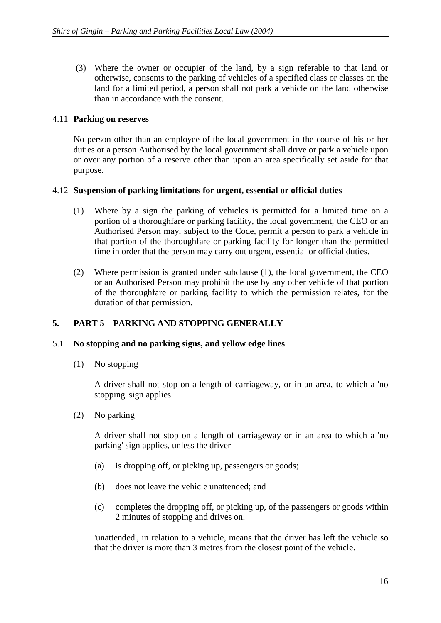(3) Where the owner or occupier of the land, by a sign referable to that land or otherwise, consents to the parking of vehicles of a specified class or classes on the land for a limited period, a person shall not park a vehicle on the land otherwise than in accordance with the consent.

#### 4.11 **Parking on reserves**

No person other than an employee of the local government in the course of his or her duties or a person Authorised by the local government shall drive or park a vehicle upon or over any portion of a reserve other than upon an area specifically set aside for that purpose.

# 4.12 **Suspension of parking limitations for urgent, essential or official duties**

- (1) Where by a sign the parking of vehicles is permitted for a limited time on a portion of a thoroughfare or parking facility, the local government, the CEO or an Authorised Person may, subject to the Code, permit a person to park a vehicle in that portion of the thoroughfare or parking facility for longer than the permitted time in order that the person may carry out urgent, essential or official duties.
- (2) Where permission is granted under subclause (1), the local government, the CEO or an Authorised Person may prohibit the use by any other vehicle of that portion of the thoroughfare or parking facility to which the permission relates, for the duration of that permission.

# **5. PART 5 – PARKING AND STOPPING GENERALLY**

#### 5.1 **No stopping and no parking signs, and yellow edge lines**

(1) No stopping

A driver shall not stop on a length of carriageway, or in an area, to which a 'no stopping' sign applies.

(2) No parking

A driver shall not stop on a length of carriageway or in an area to which a 'no parking' sign applies, unless the driver-

- (a) is dropping off, or picking up, passengers or goods;
- (b) does not leave the vehicle unattended; and
- (c) completes the dropping off, or picking up, of the passengers or goods within 2 minutes of stopping and drives on.

'unattended', in relation to a vehicle, means that the driver has left the vehicle so that the driver is more than 3 metres from the closest point of the vehicle.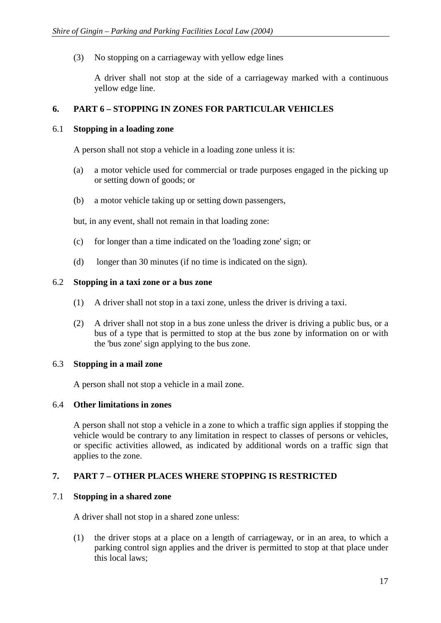(3) No stopping on a carriageway with yellow edge lines

A driver shall not stop at the side of a carriageway marked with a continuous yellow edge line.

# **6. PART 6 – STOPPING IN ZONES FOR PARTICULAR VEHICLES**

#### 6.1 **Stopping in a loading zone**

A person shall not stop a vehicle in a loading zone unless it is:

- (a) a motor vehicle used for commercial or trade purposes engaged in the picking up or setting down of goods; or
- (b) a motor vehicle taking up or setting down passengers,

but, in any event, shall not remain in that loading zone:

- (c) for longer than a time indicated on the 'loading zone' sign; or
- (d) longer than 30 minutes (if no time is indicated on the sign).

#### 6.2 **Stopping in a taxi zone or a bus zone**

- (1) A driver shall not stop in a taxi zone, unless the driver is driving a taxi.
- (2) A driver shall not stop in a bus zone unless the driver is driving a public bus, or a bus of a type that is permitted to stop at the bus zone by information on or with the 'bus zone' sign applying to the bus zone.

#### 6.3 **Stopping in a mail zone**

A person shall not stop a vehicle in a mail zone.

#### 6.4 **Other limitations in zones**

A person shall not stop a vehicle in a zone to which a traffic sign applies if stopping the vehicle would be contrary to any limitation in respect to classes of persons or vehicles, or specific activities allowed, as indicated by additional words on a traffic sign that applies to the zone.

# **7. PART 7 – OTHER PLACES WHERE STOPPING IS RESTRICTED**

#### 7.1 **Stopping in a shared zone**

A driver shall not stop in a shared zone unless:

(1) the driver stops at a place on a length of carriageway, or in an area, to which a parking control sign applies and the driver is permitted to stop at that place under this local laws;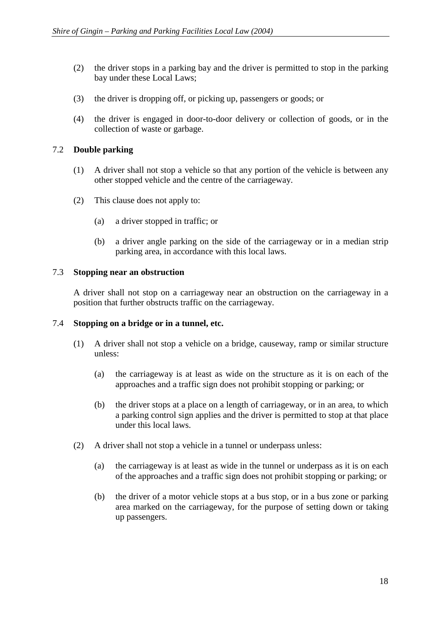- (2) the driver stops in a parking bay and the driver is permitted to stop in the parking bay under these Local Laws;
- (3) the driver is dropping off, or picking up, passengers or goods; or
- (4) the driver is engaged in door-to-door delivery or collection of goods, or in the collection of waste or garbage.

#### 7.2 **Double parking**

- (1) A driver shall not stop a vehicle so that any portion of the vehicle is between any other stopped vehicle and the centre of the carriageway.
- (2) This clause does not apply to:
	- (a) a driver stopped in traffic; or
	- (b) a driver angle parking on the side of the carriageway or in a median strip parking area, in accordance with this local laws.

#### 7.3 **Stopping near an obstruction**

A driver shall not stop on a carriageway near an obstruction on the carriageway in a position that further obstructs traffic on the carriageway.

#### 7.4 **Stopping on a bridge or in a tunnel, etc.**

- (1) A driver shall not stop a vehicle on a bridge, causeway, ramp or similar structure unless:
	- (a) the carriageway is at least as wide on the structure as it is on each of the approaches and a traffic sign does not prohibit stopping or parking; or
	- (b) the driver stops at a place on a length of carriageway, or in an area, to which a parking control sign applies and the driver is permitted to stop at that place under this local laws.
- (2) A driver shall not stop a vehicle in a tunnel or underpass unless:
	- (a) the carriageway is at least as wide in the tunnel or underpass as it is on each of the approaches and a traffic sign does not prohibit stopping or parking; or
	- (b) the driver of a motor vehicle stops at a bus stop, or in a bus zone or parking area marked on the carriageway, for the purpose of setting down or taking up passengers.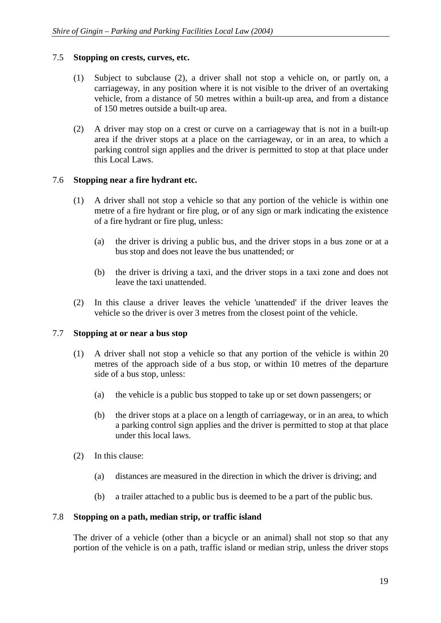# 7.5 **Stopping on crests, curves, etc.**

- (1) Subject to subclause (2), a driver shall not stop a vehicle on, or partly on, a carriageway, in any position where it is not visible to the driver of an overtaking vehicle, from a distance of 50 metres within a built-up area, and from a distance of 150 metres outside a built-up area.
- (2) A driver may stop on a crest or curve on a carriageway that is not in a built-up area if the driver stops at a place on the carriageway, or in an area, to which a parking control sign applies and the driver is permitted to stop at that place under this Local Laws.

# 7.6 **Stopping near a fire hydrant etc.**

- (1) A driver shall not stop a vehicle so that any portion of the vehicle is within one metre of a fire hydrant or fire plug, or of any sign or mark indicating the existence of a fire hydrant or fire plug, unless:
	- (a) the driver is driving a public bus, and the driver stops in a bus zone or at a bus stop and does not leave the bus unattended; or
	- (b) the driver is driving a taxi, and the driver stops in a taxi zone and does not leave the taxi unattended.
- (2) In this clause a driver leaves the vehicle 'unattended' if the driver leaves the vehicle so the driver is over 3 metres from the closest point of the vehicle.

#### 7.7 **Stopping at or near a bus stop**

- (1) A driver shall not stop a vehicle so that any portion of the vehicle is within 20 metres of the approach side of a bus stop, or within 10 metres of the departure side of a bus stop, unless:
	- (a) the vehicle is a public bus stopped to take up or set down passengers; or
	- (b) the driver stops at a place on a length of carriageway, or in an area, to which a parking control sign applies and the driver is permitted to stop at that place under this local laws.
- (2) In this clause:
	- (a) distances are measured in the direction in which the driver is driving; and
	- (b) a trailer attached to a public bus is deemed to be a part of the public bus.

#### 7.8 **Stopping on a path, median strip, or traffic island**

The driver of a vehicle (other than a bicycle or an animal) shall not stop so that any portion of the vehicle is on a path, traffic island or median strip, unless the driver stops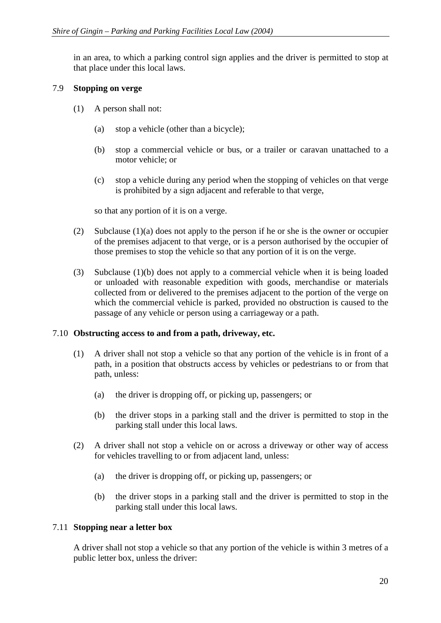in an area, to which a parking control sign applies and the driver is permitted to stop at that place under this local laws.

# 7.9 **Stopping on verge**

- (1) A person shall not:
	- (a) stop a vehicle (other than a bicycle);
	- (b) stop a commercial vehicle or bus, or a trailer or caravan unattached to a motor vehicle; or
	- (c) stop a vehicle during any period when the stopping of vehicles on that verge is prohibited by a sign adjacent and referable to that verge,

so that any portion of it is on a verge.

- (2) Subclause (1)(a) does not apply to the person if he or she is the owner or occupier of the premises adjacent to that verge, or is a person authorised by the occupier of those premises to stop the vehicle so that any portion of it is on the verge.
- (3) Subclause (1)(b) does not apply to a commercial vehicle when it is being loaded or unloaded with reasonable expedition with goods, merchandise or materials collected from or delivered to the premises adjacent to the portion of the verge on which the commercial vehicle is parked, provided no obstruction is caused to the passage of any vehicle or person using a carriageway or a path.

#### 7.10 **Obstructing access to and from a path, driveway, etc.**

- (1) A driver shall not stop a vehicle so that any portion of the vehicle is in front of a path, in a position that obstructs access by vehicles or pedestrians to or from that path, unless:
	- (a) the driver is dropping off, or picking up, passengers; or
	- (b) the driver stops in a parking stall and the driver is permitted to stop in the parking stall under this local laws.
- (2) A driver shall not stop a vehicle on or across a driveway or other way of access for vehicles travelling to or from adjacent land, unless:
	- (a) the driver is dropping off, or picking up, passengers; or
	- (b) the driver stops in a parking stall and the driver is permitted to stop in the parking stall under this local laws.

# 7.11 **Stopping near a letter box**

A driver shall not stop a vehicle so that any portion of the vehicle is within 3 metres of a public letter box, unless the driver: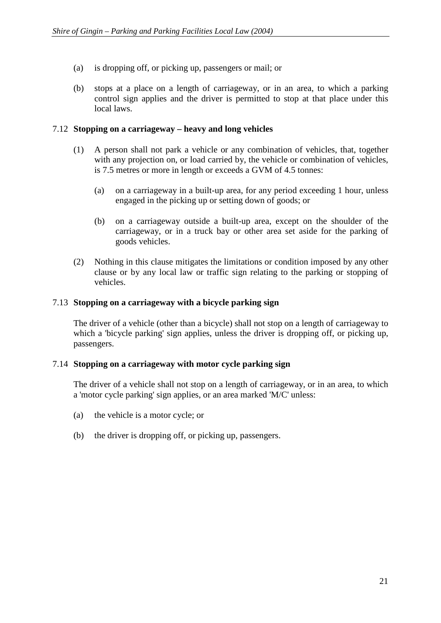- (a) is dropping off, or picking up, passengers or mail; or
- (b) stops at a place on a length of carriageway, or in an area, to which a parking control sign applies and the driver is permitted to stop at that place under this local laws.

# 7.12 **Stopping on a carriageway – heavy and long vehicles**

- (1) A person shall not park a vehicle or any combination of vehicles, that, together with any projection on, or load carried by, the vehicle or combination of vehicles, is 7.5 metres or more in length or exceeds a GVM of 4.5 tonnes:
	- (a) on a carriageway in a built-up area, for any period exceeding 1 hour, unless engaged in the picking up or setting down of goods; or
	- (b) on a carriageway outside a built-up area, except on the shoulder of the carriageway, or in a truck bay or other area set aside for the parking of goods vehicles.
- (2) Nothing in this clause mitigates the limitations or condition imposed by any other clause or by any local law or traffic sign relating to the parking or stopping of vehicles.

# 7.13 **Stopping on a carriageway with a bicycle parking sign**

The driver of a vehicle (other than a bicycle) shall not stop on a length of carriageway to which a 'bicycle parking' sign applies, unless the driver is dropping off, or picking up, passengers.

#### 7.14 **Stopping on a carriageway with motor cycle parking sign**

The driver of a vehicle shall not stop on a length of carriageway, or in an area, to which a 'motor cycle parking' sign applies, or an area marked 'M/C' unless:

- (a) the vehicle is a motor cycle; or
- (b) the driver is dropping off, or picking up, passengers.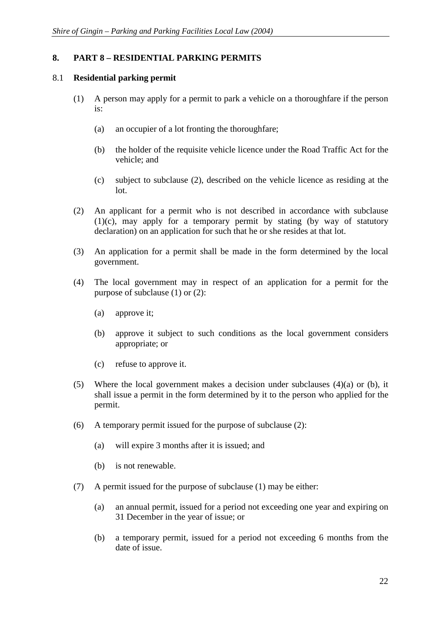# **8. PART 8 – RESIDENTIAL PARKING PERMITS**

# 8.1 **Residential parking permit**

- (1) A person may apply for a permit to park a vehicle on a thoroughfare if the person is:
	- (a) an occupier of a lot fronting the thoroughfare;
	- (b) the holder of the requisite vehicle licence under the Road Traffic Act for the vehicle; and
	- (c) subject to subclause (2), described on the vehicle licence as residing at the lot.
- (2) An applicant for a permit who is not described in accordance with subclause (1)(c), may apply for a temporary permit by stating (by way of statutory declaration) on an application for such that he or she resides at that lot.
- (3) An application for a permit shall be made in the form determined by the local government.
- (4) The local government may in respect of an application for a permit for the purpose of subclause (1) or (2):
	- (a) approve it;
	- (b) approve it subject to such conditions as the local government considers appropriate; or
	- (c) refuse to approve it.
- (5) Where the local government makes a decision under subclauses (4)(a) or (b), it shall issue a permit in the form determined by it to the person who applied for the permit.
- (6) A temporary permit issued for the purpose of subclause (2):
	- (a) will expire 3 months after it is issued; and
	- (b) is not renewable.
- (7) A permit issued for the purpose of subclause (1) may be either:
	- (a) an annual permit, issued for a period not exceeding one year and expiring on 31 December in the year of issue; or
	- (b) a temporary permit, issued for a period not exceeding 6 months from the date of issue.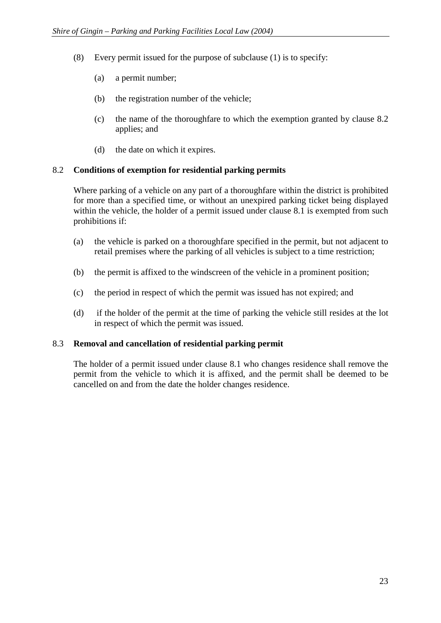- (8) Every permit issued for the purpose of subclause (1) is to specify:
	- (a) a permit number;
	- (b) the registration number of the vehicle;
	- (c) the name of the thoroughfare to which the exemption granted by clause 8.2 applies; and
	- (d) the date on which it expires.

# 8.2 **Conditions of exemption for residential parking permits**

Where parking of a vehicle on any part of a thoroughfare within the district is prohibited for more than a specified time, or without an unexpired parking ticket being displayed within the vehicle, the holder of a permit issued under clause 8.1 is exempted from such prohibitions if:

- (a) the vehicle is parked on a thoroughfare specified in the permit, but not adjacent to retail premises where the parking of all vehicles is subject to a time restriction;
- (b) the permit is affixed to the windscreen of the vehicle in a prominent position;
- (c) the period in respect of which the permit was issued has not expired; and
- (d) if the holder of the permit at the time of parking the vehicle still resides at the lot in respect of which the permit was issued.

#### 8.3 **Removal and cancellation of residential parking permit**

The holder of a permit issued under clause 8.1 who changes residence shall remove the permit from the vehicle to which it is affixed, and the permit shall be deemed to be cancelled on and from the date the holder changes residence.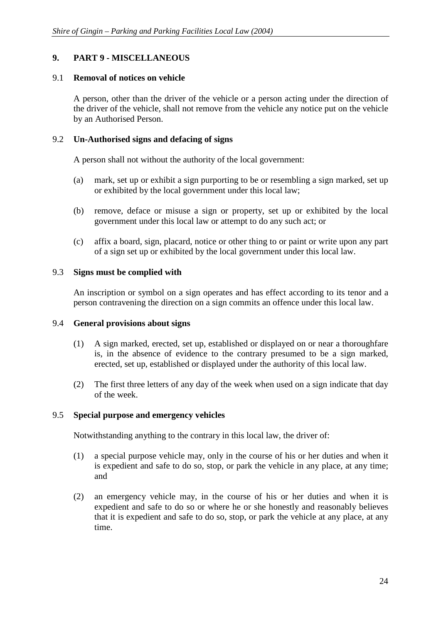# **9. PART 9 - MISCELLANEOUS**

# 9.1 **Removal of notices on vehicle**

A person, other than the driver of the vehicle or a person acting under the direction of the driver of the vehicle, shall not remove from the vehicle any notice put on the vehicle by an Authorised Person.

# 9.2 **Un-Authorised signs and defacing of signs**

A person shall not without the authority of the local government:

- (a) mark, set up or exhibit a sign purporting to be or resembling a sign marked, set up or exhibited by the local government under this local law;
- (b) remove, deface or misuse a sign or property, set up or exhibited by the local government under this local law or attempt to do any such act; or
- (c) affix a board, sign, placard, notice or other thing to or paint or write upon any part of a sign set up or exhibited by the local government under this local law.

# 9.3 **Signs must be complied with**

An inscription or symbol on a sign operates and has effect according to its tenor and a person contravening the direction on a sign commits an offence under this local law.

# 9.4 **General provisions about signs**

- (1) A sign marked, erected, set up, established or displayed on or near a thoroughfare is, in the absence of evidence to the contrary presumed to be a sign marked, erected, set up, established or displayed under the authority of this local law.
- (2) The first three letters of any day of the week when used on a sign indicate that day of the week.

#### 9.5 **Special purpose and emergency vehicles**

Notwithstanding anything to the contrary in this local law, the driver of:

- (1) a special purpose vehicle may, only in the course of his or her duties and when it is expedient and safe to do so, stop, or park the vehicle in any place, at any time; and
- (2) an emergency vehicle may, in the course of his or her duties and when it is expedient and safe to do so or where he or she honestly and reasonably believes that it is expedient and safe to do so, stop, or park the vehicle at any place, at any time.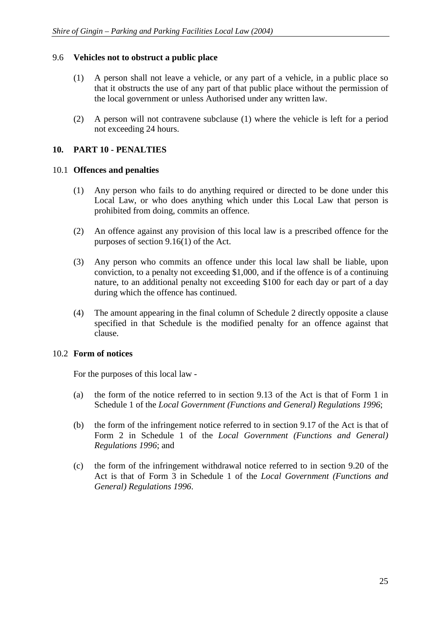# 9.6 **Vehicles not to obstruct a public place**

- (1) A person shall not leave a vehicle, or any part of a vehicle, in a public place so that it obstructs the use of any part of that public place without the permission of the local government or unless Authorised under any written law.
- (2) A person will not contravene subclause (1) where the vehicle is left for a period not exceeding 24 hours.

# **10. PART 10 - PENALTIES**

#### 10.1 **Offences and penalties**

- (1) Any person who fails to do anything required or directed to be done under this Local Law, or who does anything which under this Local Law that person is prohibited from doing, commits an offence.
- (2) An offence against any provision of this local law is a prescribed offence for the purposes of section 9.16(1) of the Act.
- (3) Any person who commits an offence under this local law shall be liable, upon conviction, to a penalty not exceeding \$1,000, and if the offence is of a continuing nature, to an additional penalty not exceeding \$100 for each day or part of a day during which the offence has continued.
- (4) The amount appearing in the final column of Schedule 2 directly opposite a clause specified in that Schedule is the modified penalty for an offence against that clause.

#### 10.2 **Form of notices**

For the purposes of this local law -

- (a) the form of the notice referred to in section 9.13 of the Act is that of Form 1 in Schedule 1 of the *Local Government (Functions and General) Regulations 1996*;
- (b) the form of the infringement notice referred to in section 9.17 of the Act is that of Form 2 in Schedule 1 of the *Local Government (Functions and General) Regulations 1996*; and
- (c) the form of the infringement withdrawal notice referred to in section 9.20 of the Act is that of Form 3 in Schedule 1 of the *Local Government (Functions and General) Regulations 1996*.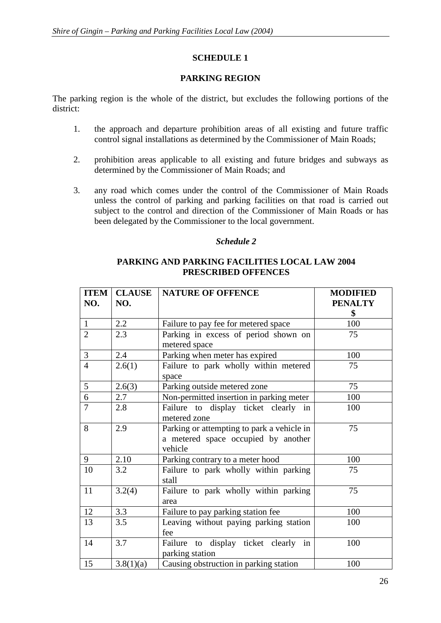# **SCHEDULE 1**

# **PARKING REGION**

The parking region is the whole of the district, but excludes the following portions of the district:

- 1. the approach and departure prohibition areas of all existing and future traffic control signal installations as determined by the Commissioner of Main Roads;
- 2. prohibition areas applicable to all existing and future bridges and subways as determined by the Commissioner of Main Roads; and
- 3. any road which comes under the control of the Commissioner of Main Roads unless the control of parking and parking facilities on that road is carried out subject to the control and direction of the Commissioner of Main Roads or has been delegated by the Commissioner to the local government.

# *Schedule 2*

# **PARKING AND PARKING FACILITIES LOCAL LAW 2004 PRESCRIBED OFFENCES**

| <b>ITEM</b><br>NO. | <b>CLAUSE</b><br>NO. | <b>NATURE OF OFFENCE</b>                                                                     | <b>MODIFIED</b><br><b>PENALTY</b> |
|--------------------|----------------------|----------------------------------------------------------------------------------------------|-----------------------------------|
|                    |                      |                                                                                              | \$                                |
| $\mathbf{1}$       | 2.2                  | Failure to pay fee for metered space                                                         | 100                               |
| $\overline{2}$     | 2.3                  | Parking in excess of period shown on<br>metered space                                        | 75                                |
| $\mathfrak{Z}$     | 2.4                  | Parking when meter has expired                                                               | 100                               |
| $\overline{4}$     | 2.6(1)               | Failure to park wholly within metered<br>space                                               | 75                                |
| 5                  | 2.6(3)               | Parking outside metered zone                                                                 | 75                                |
| $\overline{6}$     | 2.7                  | Non-permitted insertion in parking meter                                                     | 100                               |
| $\overline{7}$     | 2.8                  | Failure to display ticket clearly<br>in<br>metered zone                                      | 100                               |
| 8                  | 2.9                  | Parking or attempting to park a vehicle in<br>a metered space occupied by another<br>vehicle | 75                                |
| 9                  | 2.10                 | Parking contrary to a meter hood                                                             | 100                               |
| 10                 | 3.2                  | Failure to park wholly within parking<br>stall                                               | 75                                |
| 11                 | 3.2(4)               | Failure to park wholly within parking<br>area                                                | 75                                |
| 12                 | 3.3                  | Failure to pay parking station fee                                                           | 100                               |
| 13                 | 3.5                  | Leaving without paying parking station<br>fee                                                | 100                               |
| 14                 | 3.7                  | Failure to display ticket clearly in<br>parking station                                      | 100                               |
| 15                 | 3.8(1)(a)            | Causing obstruction in parking station                                                       | 100                               |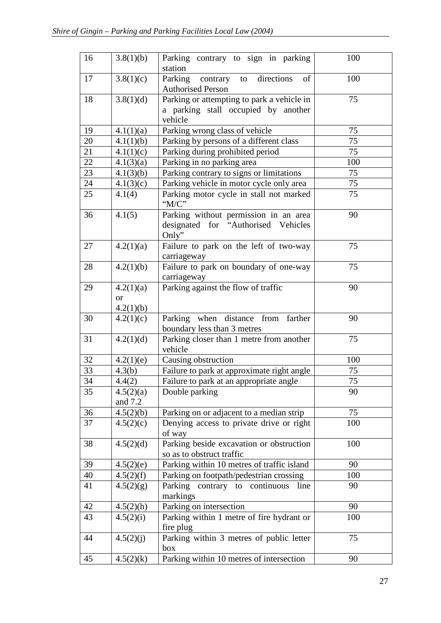| 16 | 3.8(1)(b)                           | Parking contrary to sign in parking<br>station                                               | 100 |
|----|-------------------------------------|----------------------------------------------------------------------------------------------|-----|
| 17 | 3.8(1)(c)                           | directions<br>Parking<br>of<br>contrary to<br><b>Authorised Person</b>                       | 100 |
| 18 | 3.8(1)(d)                           | Parking or attempting to park a vehicle in<br>a parking stall occupied by another<br>vehicle | 75  |
| 19 | 4.1(1)(a)                           | Parking wrong class of vehicle                                                               | 75  |
| 20 | 4.1(1)(b)                           | Parking by persons of a different class                                                      | 75  |
| 21 | 4.1(1)(c)                           | Parking during prohibited period                                                             | 75  |
| 22 | 4.1(3)(a)                           | Parking in no parking area                                                                   | 100 |
| 23 | 4.1(3)(b)                           | Parking contrary to signs or limitations                                                     | 75  |
| 24 | 4.1(3)(c)                           | Parking vehicle in motor cycle only area                                                     | 75  |
| 25 | 4.1(4)                              | Parking motor cycle in stall not marked<br>"M/C"                                             | 75  |
| 36 | 4.1(5)                              | Parking without permission in an area<br>designated for "Authorised Vehicles<br>Only"        | 90  |
| 27 | 4.2(1)(a)                           | Failure to park on the left of two-way<br>carriageway                                        | 75  |
| 28 | 4.2(1)(b)                           | Failure to park on boundary of one-way<br>carriageway                                        | 75  |
| 29 | 4.2(1)(a)<br><b>or</b><br>4.2(1)(b) | Parking against the flow of traffic                                                          | 90  |
| 30 | 4.2(1)(c)                           | Parking when distance from farther<br>boundary less than 3 metres                            | 90  |
| 31 | 4.2(1)(d)                           | Parking closer than 1 metre from another<br>vehicle                                          | 75  |
| 32 | 4.2(1)(e)                           | Causing obstruction                                                                          | 100 |
| 33 | 4.3(b)                              | Failure to park at approximate right angle                                                   | 75  |
| 34 | 4.4(2)                              | Failure to park at an appropriate angle                                                      | 75  |
| 35 | 4.5(2)(a)<br>and 7.2                | Double parking                                                                               | 90  |
| 36 | 4.5(2)(b)                           | Parking on or adjacent to a median strip                                                     | 75  |
| 37 | 4.5(2)(c)                           | Denying access to private drive or right<br>of way                                           | 100 |
| 38 | 4.5(2)(d)                           | Parking beside excavation or obstruction<br>so as to obstruct traffic                        | 100 |
| 39 | 4.5(2)(e)                           | Parking within 10 metres of traffic island                                                   | 90  |
| 40 | 4.5(2)(f)                           | Parking on footpath/pedestrian crossing                                                      | 100 |
| 41 | 4.5(2)(g)                           | Parking contrary to continuous<br>line<br>markings                                           | 90  |
| 42 | 4.5(2)(h)                           | Parking on intersection                                                                      | 90  |
| 43 | 4.5(2)(i)                           | Parking within 1 metre of fire hydrant or<br>fire plug                                       | 100 |
| 44 | 4.5(2)(j)                           | Parking within 3 metres of public letter<br>box                                              | 75  |
| 45 | 4.5(2)(k)                           | Parking within 10 metres of intersection                                                     | 90  |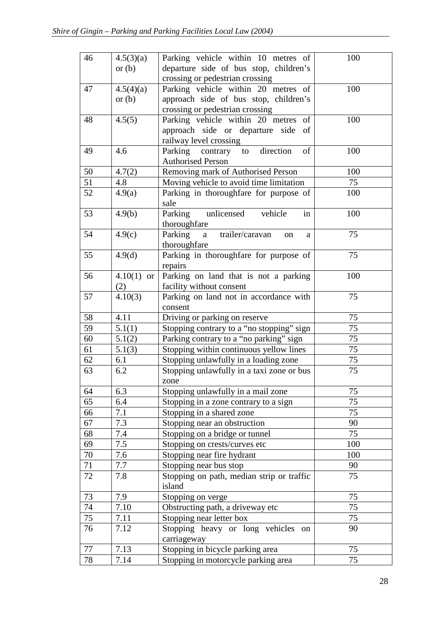| 46     | 4.5(3)(a)        | Parking vehicle within 10 metres of            | 100 |
|--------|------------------|------------------------------------------------|-----|
|        | or $(b)$         | departure side of bus stop, children's         |     |
|        |                  | crossing or pedestrian crossing                |     |
| 47     | 4.5(4)(a)        | Parking vehicle within 20 metres of            | 100 |
|        | or $(b)$         | approach side of bus stop, children's          |     |
|        |                  | crossing or pedestrian crossing                |     |
| 48     | 4.5(5)           | Parking vehicle within 20 metres<br>of         | 100 |
|        |                  | approach side or departure side<br>of          |     |
|        |                  | railway level crossing                         |     |
| 49     | 4.6              | direction<br>Parking<br>of<br>contrary to      | 100 |
|        |                  | <b>Authorised Person</b>                       |     |
| 50     | 4.7(2)           | Removing mark of Authorised Person             | 100 |
| 51     | 4.8              | Moving vehicle to avoid time limitation        | 75  |
| 52     | 4.9(a)           | Parking in thoroughfare for purpose of<br>sale | 100 |
| 53     | 4.9(b)           | unlicensed<br>vehicle<br>Parking<br>in         | 100 |
|        |                  | thoroughfare                                   |     |
| 54     | 4.9(c)           | Parking<br>trailer/caravan<br>a<br>on<br>a     | 75  |
|        |                  | thoroughfare                                   |     |
| 55     | 4.9 <sub>d</sub> | Parking in thoroughfare for purpose of         | 75  |
|        |                  | repairs                                        |     |
| 56     | $4.10(1)$ or     | Parking on land that is not a parking          | 100 |
|        | (2)              | facility without consent                       |     |
| 57     | 4.10(3)          | Parking on land not in accordance with         | 75  |
|        |                  | consent                                        |     |
| 58     | 4.11             | Driving or parking on reserve                  | 75  |
| 59     | 5.1(1)           | Stopping contrary to a "no stopping" sign      | 75  |
| 60     | 5.1(2)           | Parking contrary to a "no parking" sign        | 75  |
| 61     | 5.1(3)           | Stopping within continuous yellow lines        | 75  |
| 62     | 6.1              | Stopping unlawfully in a loading zone          | 75  |
| 63     | 6.2              | Stopping unlawfully in a taxi zone or bus      | 75  |
| 64     | 6.3              | zone<br>Stopping unlawfully in a mail zone     | 75  |
| 65     | 6.4              | Stopping in a zone contrary to a sign          | 75  |
| 66     | 7.1              | Stopping in a shared zone                      | 75  |
| 67     | 7.3              | Stopping near an obstruction                   | 90  |
| 68     | 7.4              | Stopping on a bridge or tunnel                 | 75  |
| 69     | 7.5              | Stopping on crests/curves etc                  | 100 |
| 70     | 7.6              | Stopping near fire hydrant                     | 100 |
| 71     | 7.7              | Stopping near bus stop                         | 90  |
| 72     | 7.8              | Stopping on path, median strip or traffic      | 75  |
|        |                  | island                                         |     |
| 73     | 7.9              | Stopping on verge                              | 75  |
| 74     | 7.10             | Obstructing path, a driveway etc               | 75  |
| 75     | 7.11             | Stopping near letter box                       | 75  |
| 76     | 7.12             | Stopping heavy or long vehicles<br>on          | 90  |
|        |                  | carriageway                                    |     |
| $77\,$ | 7.13             | Stopping in bicycle parking area               | 75  |
| 78     | 7.14             | Stopping in motorcycle parking area            | 75  |